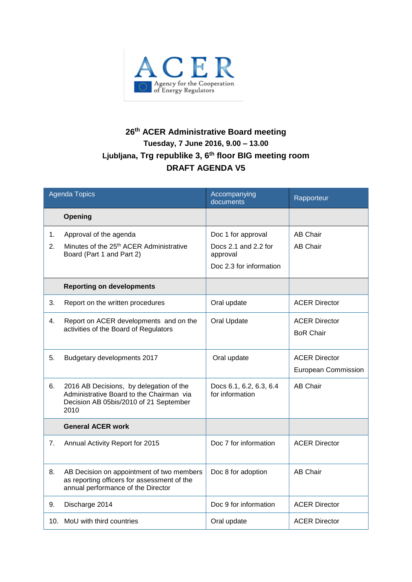

## **26 th ACER Administrative Board meeting Tuesday, 7 June 2016, 9.00 – 13.00 Ljubljana, Trg republike 3, 6th floor BIG meeting room DRAFT AGENDA V5**

| <b>Agenda Topics</b> |                                                                                                                                       | Accompanying<br>documents                  | Rapporteur           |
|----------------------|---------------------------------------------------------------------------------------------------------------------------------------|--------------------------------------------|----------------------|
|                      | Opening                                                                                                                               |                                            |                      |
| 1.                   | Approval of the agenda                                                                                                                | Doc 1 for approval                         | <b>AB Chair</b>      |
| 2.                   | Minutes of the 25 <sup>th</sup> ACER Administrative<br>Board (Part 1 and Part 2)                                                      | Docs 2.1 and 2.2 for<br>approval           | <b>AB Chair</b>      |
|                      |                                                                                                                                       | Doc 2.3 for information                    |                      |
|                      | <b>Reporting on developments</b>                                                                                                      |                                            |                      |
| 3.                   | Report on the written procedures                                                                                                      | Oral update                                | <b>ACER Director</b> |
| 4.                   | Report on ACER developments and on the<br>activities of the Board of Regulators                                                       | Oral Update                                | <b>ACER Director</b> |
|                      |                                                                                                                                       |                                            | <b>BoR Chair</b>     |
| 5.                   | Budgetary developments 2017                                                                                                           | Oral update                                | <b>ACER Director</b> |
|                      |                                                                                                                                       |                                            | European Commission  |
| 6.                   | 2016 AB Decisions, by delegation of the<br>Administrative Board to the Chairman via<br>Decision AB 05bis/2010 of 21 September<br>2010 | Docs 6.1, 6.2, 6.3, 6.4<br>for information | <b>AB Chair</b>      |
|                      | <b>General ACER work</b>                                                                                                              |                                            |                      |
| 7.                   | Annual Activity Report for 2015                                                                                                       | Doc 7 for information                      | <b>ACER Director</b> |
| 8.                   | AB Decision on appointment of two members<br>as reporting officers for assessment of the<br>annual performance of the Director        | Doc 8 for adoption                         | <b>AB Chair</b>      |
| 9.                   | Discharge 2014                                                                                                                        | Doc 9 for information                      | <b>ACER Director</b> |
|                      | 10. MoU with third countries                                                                                                          | Oral update                                | <b>ACER Director</b> |